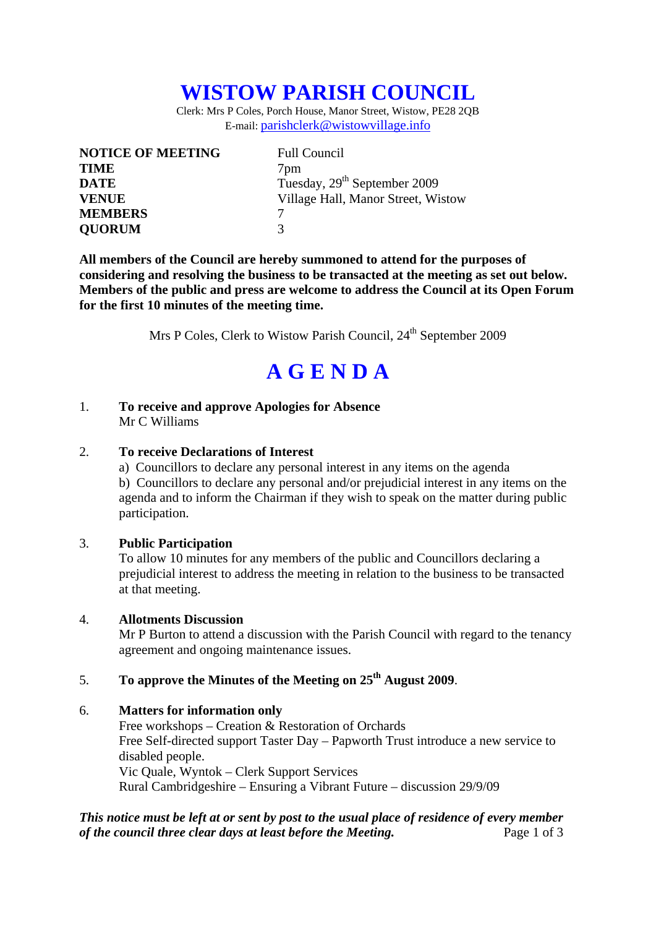# **WISTOW PARISH COUNCIL**

Clerk: Mrs P Coles, Porch House, Manor Street, Wistow, PE28 2QB E-mail: parishclerk@wistowvillage.info

| <b>NOTICE OF MEETING</b> | <b>Full Council</b>                      |
|--------------------------|------------------------------------------|
| <b>TIME</b>              | 7 <sub>pm</sub>                          |
| <b>DATE</b>              | Tuesday, 29 <sup>th</sup> September 2009 |
| <b>VENUE</b>             | Village Hall, Manor Street, Wistow       |
| <b>MEMBERS</b>           |                                          |
| <b>QUORUM</b>            | 3                                        |

**All members of the Council are hereby summoned to attend for the purposes of considering and resolving the business to be transacted at the meeting as set out below. Members of the public and press are welcome to address the Council at its Open Forum for the first 10 minutes of the meeting time.** 

Mrs P Coles, Clerk to Wistow Parish Council, 24<sup>th</sup> September 2009

# **A G E N D A**

1. **To receive and approve Apologies for Absence** Mr C Williams

#### 2. **To receive Declarations of Interest**

 a) Councillors to declare any personal interest in any items on the agenda b) Councillors to declare any personal and/or prejudicial interest in any items on the agenda and to inform the Chairman if they wish to speak on the matter during public participation.

#### 3. **Public Participation**

To allow 10 minutes for any members of the public and Councillors declaring a prejudicial interest to address the meeting in relation to the business to be transacted at that meeting.

#### 4. **Allotments Discussion**

Mr P Burton to attend a discussion with the Parish Council with regard to the tenancy agreement and ongoing maintenance issues.

### 5. **To approve the Minutes of the Meeting on 25th August 2009**.

#### 6. **Matters for information only**

 Free workshops – Creation & Restoration of Orchards Free Self-directed support Taster Day – Papworth Trust introduce a new service to disabled people. Vic Quale, Wyntok – Clerk Support Services Rural Cambridgeshire – Ensuring a Vibrant Future – discussion 29/9/09

#### *This notice must be left at or sent by post to the usual place of residence of every member of the council three clear days at least before the Meeting.* Page 1 of 3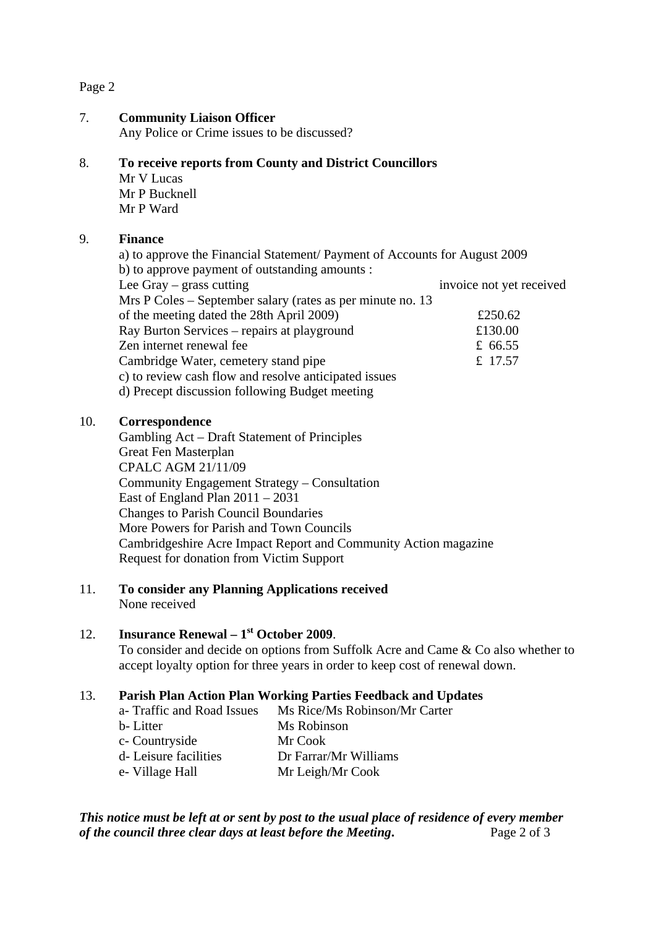#### Page 2

#### 7. **Community Liaison Officer**

Any Police or Crime issues to be discussed?

#### 8. **To receive reports from County and District Councillors**

Mr V Lucas Mr P Bucknell Mr P Ward

#### 9. **Finance**

a) to approve the Financial Statement/ Payment of Accounts for August 2009 b) to approve payment of outstanding amounts : Lee Gray – grass cutting invoice not yet received Mrs P Coles – September salary (rates as per minute no. 13 of the meeting dated the 28th April 2009) £250.62 Ray Burton Services – repairs at playground £130.00 Zen internet renewal fee <br>  $\pm 66.55$ Cambridge Water, cemetery stand pipe  $\text{f}$  17.57 c) to review cash flow and resolve anticipated issues d) Precept discussion following Budget meeting

#### 10. **Correspondence**

 Gambling Act – Draft Statement of Principles Great Fen Masterplan CPALC AGM 21/11/09 Community Engagement Strategy – Consultation East of England Plan 2011 – 2031 Changes to Parish Council Boundaries More Powers for Parish and Town Councils Cambridgeshire Acre Impact Report and Community Action magazine Request for donation from Victim Support

## 11. **To consider any Planning Applications received**

None received

### 12. **Insurance Renewal – 1st October 2009**.

To consider and decide on options from Suffolk Acre and Came & Co also whether to accept loyalty option for three years in order to keep cost of renewal down.

#### 13. **Parish Plan Action Plan Working Parties Feedback and Updates**

 a- Traffic and Road Issues Ms Rice/Ms Robinson/Mr Carter b- Litter Ms Robinson c- Countryside Mr Cook d- Leisure facilities Dr Farrar/Mr Williams e- Village Hall Mr Leigh/Mr Cook

*This notice must be left at or sent by post to the usual place of residence of every member of the council three clear days at least before the Meeting***.** Page 2 of 3